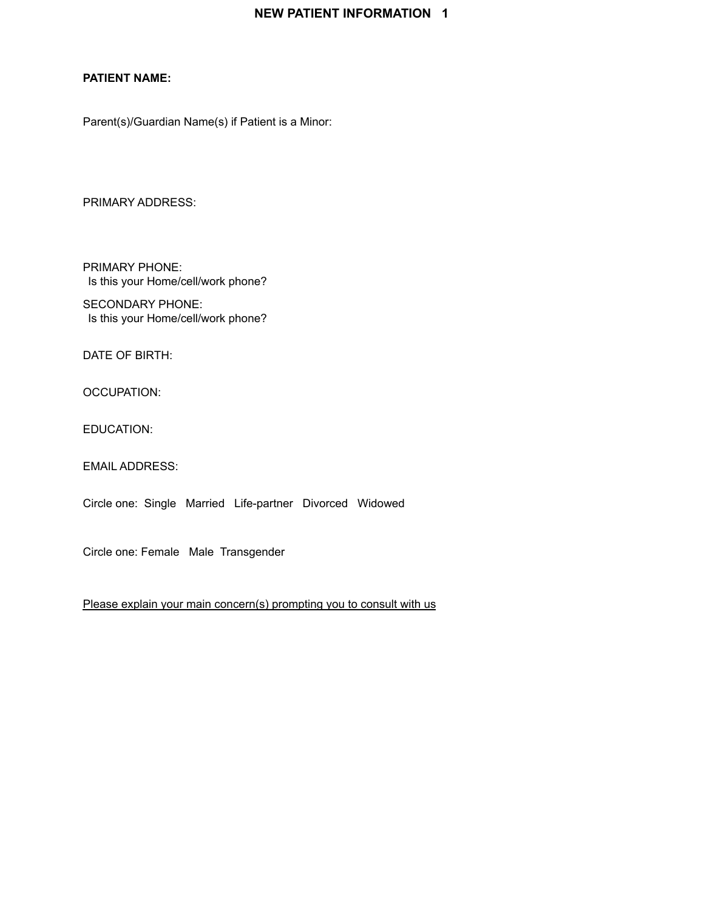#### **PATIENT NAME:**

Parent(s)/Guardian Name(s) if Patient is a Minor:

PRIMARY ADDRESS:

PRIMARY PHONE: Is this your Home/cell/work phone?

SECONDARY PHONE: Is this your Home/cell/work phone?

DATE OF BIRTH:

OCCUPATION:

EDUCATION:

EMAIL ADDRESS:

Circle one: Single Married Life-partner Divorced Widowed

Circle one: Female Male Transgender

Please explain your main concern(s) prompting you to consult with us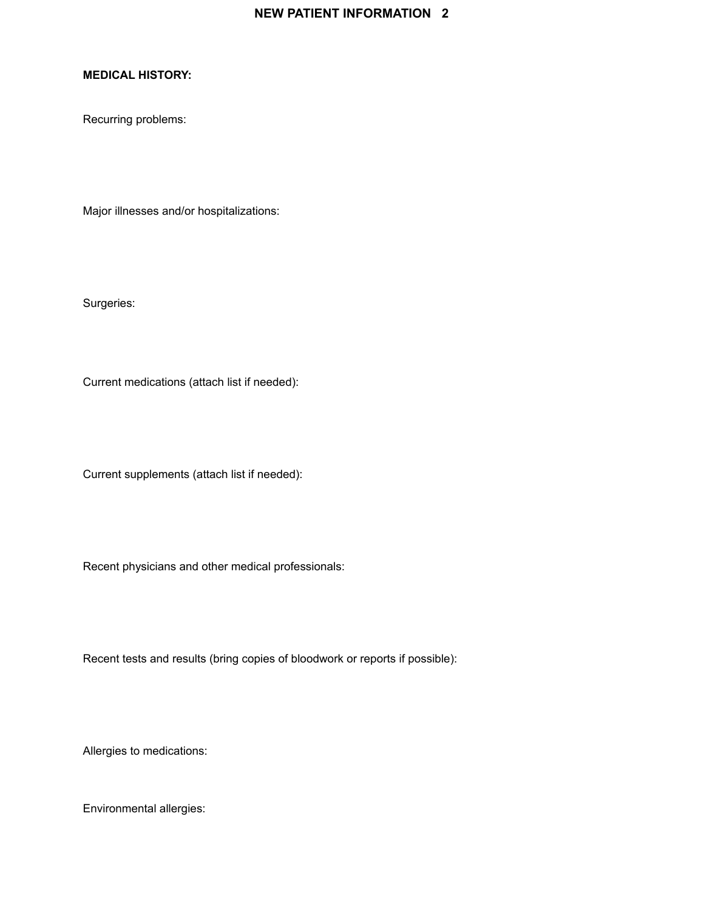#### **MEDICAL HISTORY:**

Recurring problems:

Major illnesses and/or hospitalizations:

Surgeries:

Current medications (attach list if needed):

Current supplements (attach list if needed):

Recent physicians and other medical professionals:

Recent tests and results (bring copies of bloodwork or reports if possible):

Allergies to medications:

Environmental allergies: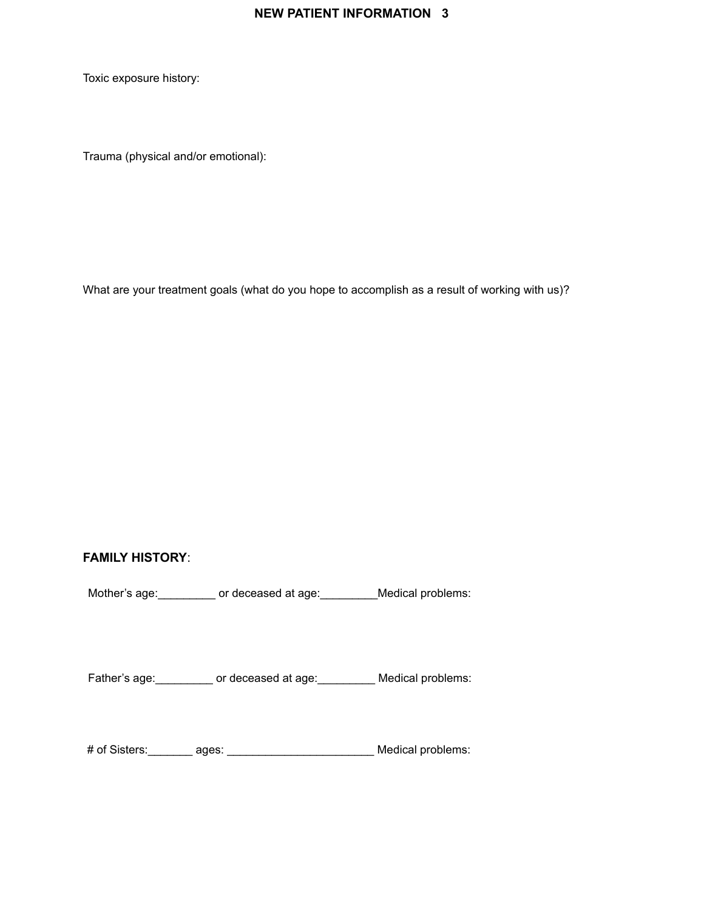Toxic exposure history:

Trauma (physical and/or emotional):

What are your treatment goals (what do you hope to accomplish as a result of working with us)?

# **FAMILY HISTORY**:

Mother's age: \_\_\_\_\_\_\_\_\_ or deceased at age: \_\_\_\_\_\_\_\_\_Medical problems:

Father's age: extending or deceased at age: Medical problems:

# of Sisters:\_\_\_\_\_\_\_ ages: \_\_\_\_\_\_\_\_\_\_\_\_\_\_\_\_\_\_\_\_\_\_\_ Medical problems: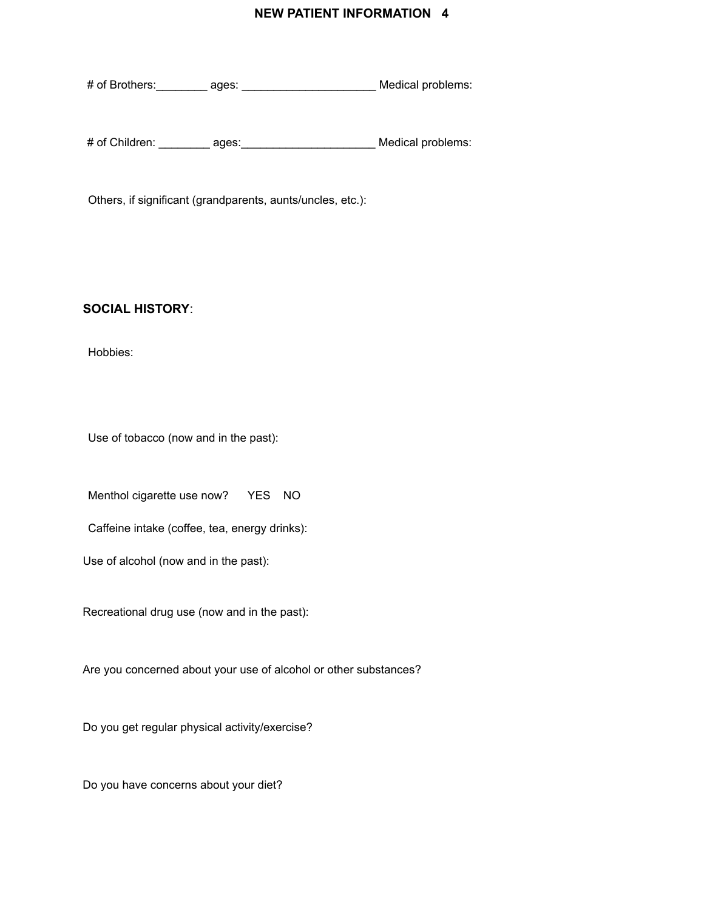# of Brothers:\_\_\_\_\_\_\_\_ ages: \_\_\_\_\_\_\_\_\_\_\_\_\_\_\_\_\_\_\_\_\_ Medical problems:

# of Children: \_\_\_\_\_\_\_\_ ages:\_\_\_\_\_\_\_\_\_\_\_\_\_\_\_\_\_\_\_\_\_ Medical problems:

Others, if significant (grandparents, aunts/uncles, etc.):

#### **SOCIAL HISTORY**:

Hobbies:

Use of tobacco (now and in the past):

Menthol cigarette use now? YES NO

Caffeine intake (coffee, tea, energy drinks):

Use of alcohol (now and in the past):

Recreational drug use (now and in the past):

Are you concerned about your use of alcohol or other substances?

Do you get regular physical activity/exercise?

Do you have concerns about your diet?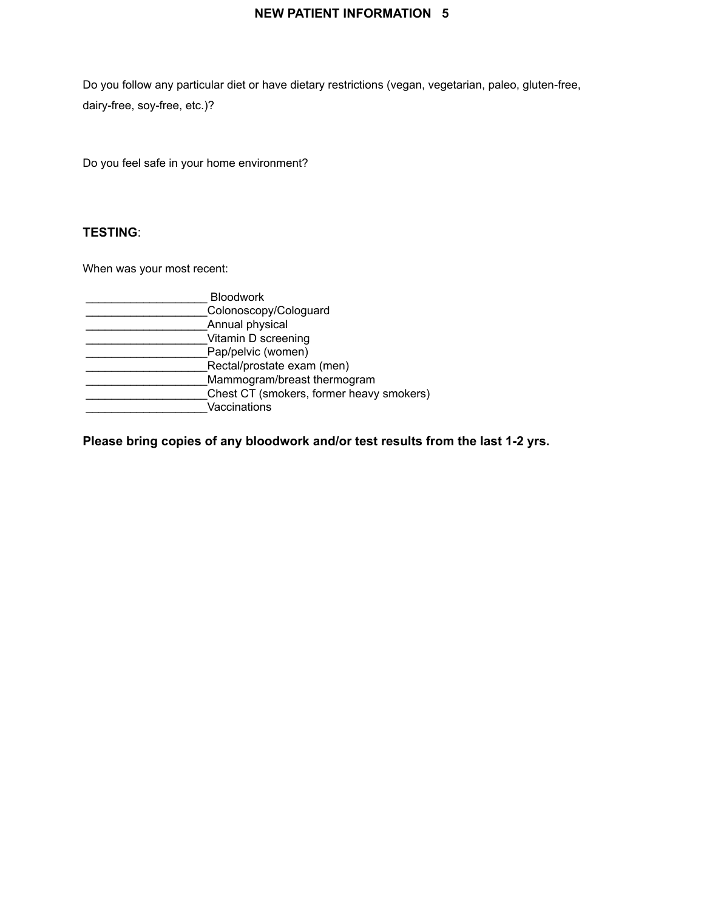Do you follow any particular diet or have dietary restrictions (vegan, vegetarian, paleo, gluten-free, dairy-free, soy-free, etc.)?

Do you feel safe in your home environment?

### **TESTING**:

When was your most recent:

| <b>Bloodwork</b>                         |  |
|------------------------------------------|--|
| Colonoscopy/Cologuard                    |  |
| Annual physical                          |  |
| Vitamin D screening                      |  |
| Pap/pelvic (women)                       |  |
| Rectal/prostate exam (men)               |  |
| Mammogram/breast thermogram              |  |
| Chest CT (smokers, former heavy smokers) |  |
| Vaccinations                             |  |

**Please bring copies of any bloodwork and/or test results from the last 1-2 yrs.**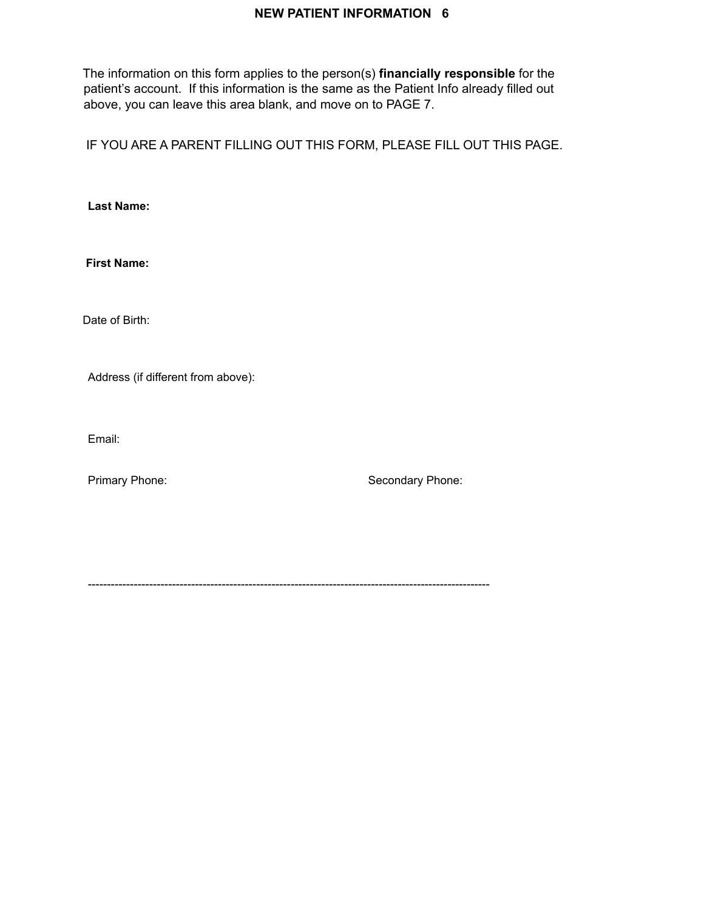The information on this form applies to the person(s) **financially responsible** for the patient's account. If this information is the same as the Patient Info already filled out above, you can leave this area blank, and move on to PAGE 7.

IF YOU ARE A PARENT FILLING OUT THIS FORM, PLEASE FILL OUT THIS PAGE.

**Last Name:**

**First Name:**

Date of Birth:

Address (if different from above):

Email:

Primary Phone: Secondary Phone:

---------------------------------------------------------------------------------------------------------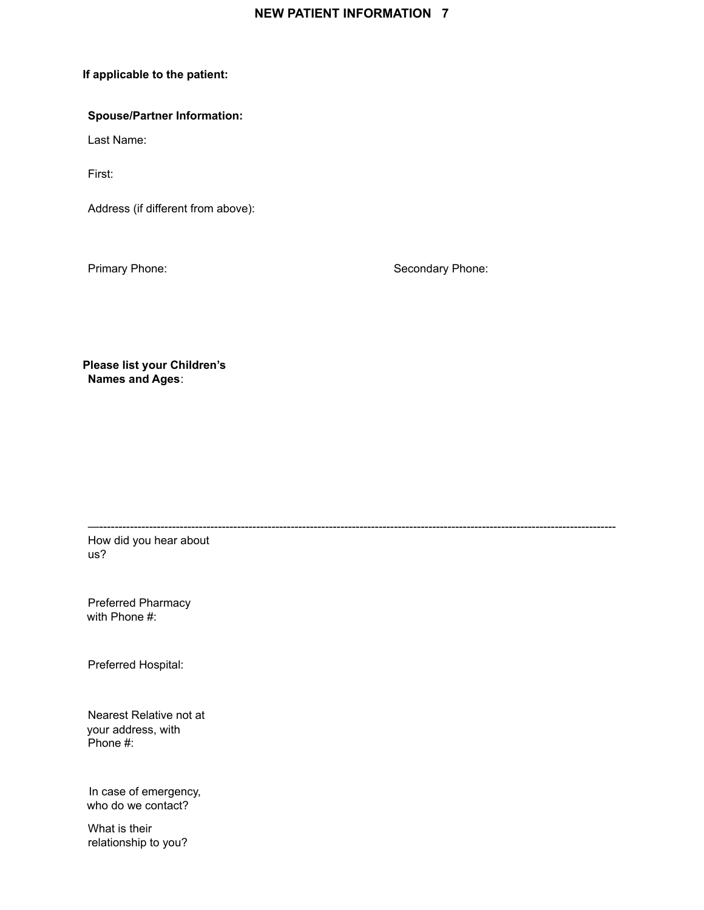—---------------------------------------------------------------------------------------------------------------------------------------

#### **If applicable to the patient:**

#### **Spouse/Partner Information:**

Last Name:

First:

Address (if different from above):

Primary Phone: Secondary Phone: Secondary Phone:

**Please list your Children's Names and Ages**:

How did you hear about us?

Preferred Pharmacy with Phone #:

Preferred Hospital:

Nearest Relative not at your address, with Phone #:

In case of emergency, who do we contact?

What is their relationship to you?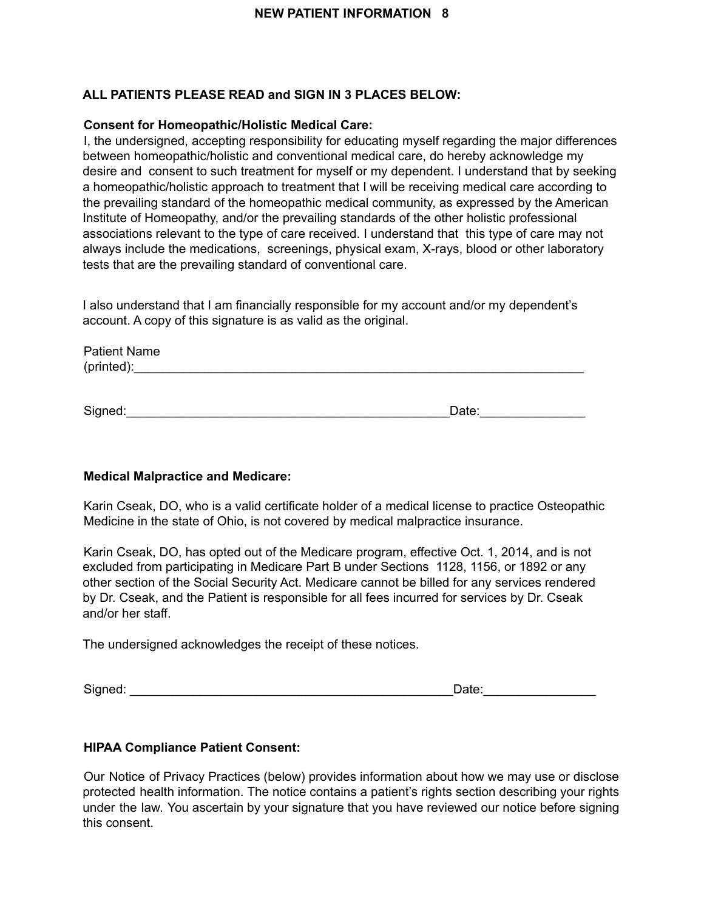# **ALL PATIENTS PLEASE READ and SIGN IN 3 PLACES BELOW:**

#### **Consent for Homeopathic/Holistic Medical Care:**

I, the undersigned, accepting responsibility for educating myself regarding the major differences between homeopathic/holistic and conventional medical care, do hereby acknowledge my desire and consent to such treatment for myself or my dependent. I understand that by seeking a homeopathic/holistic approach to treatment that I will be receiving medical care according to the prevailing standard of the homeopathic medical community, as expressed by the American Institute of Homeopathy, and/or the prevailing standards of the other holistic professional associations relevant to the type of care received. I understand that this type of care may not always include the medications, screenings, physical exam, X-rays, blood or other laboratory tests that are the prevailing standard of conventional care.

I also understand that I am financially responsible for my account and/or my dependent's account. A copy of this signature is as valid as the original.

| <b>Patient Name</b> |  |  |
|---------------------|--|--|
| (printed):          |  |  |
|                     |  |  |

Signed:\_\_\_\_\_\_\_\_\_\_\_\_\_\_\_\_\_\_\_\_\_\_\_\_\_\_\_\_\_\_\_\_\_\_\_\_\_\_\_\_\_\_\_\_\_\_Date:\_\_\_\_\_\_\_\_\_\_\_\_\_\_\_

#### **Medical Malpractice and Medicare:**

Karin Cseak, DO, who is a valid certificate holder of a medical license to practice Osteopathic Medicine in the state of Ohio, is not covered by medical malpractice insurance.

Karin Cseak, DO, has opted out of the Medicare program, effective Oct. 1, 2014, and is not excluded from participating in Medicare Part B under Sections 1128, 1156, or 1892 or any other section of the Social Security Act. Medicare cannot be billed for any services rendered by Dr. Cseak, and the Patient is responsible for all fees incurred for services by Dr. Cseak and/or her staff.

The undersigned acknowledges the receipt of these notices.

Signed: \_\_\_\_\_\_\_\_\_\_\_\_\_\_\_\_\_\_\_\_\_\_\_\_\_\_\_\_\_\_\_\_\_\_\_\_\_\_\_\_\_\_\_\_\_\_Date:\_\_\_\_\_\_\_\_\_\_\_\_\_\_\_\_

#### **HIPAA Compliance Patient Consent:**

Our Notice of Privacy Practices (below) provides information about how we may use or disclose protected health information. The notice contains a patient's rights section describing your rights under the law. You ascertain by your signature that you have reviewed our notice before signing this consent.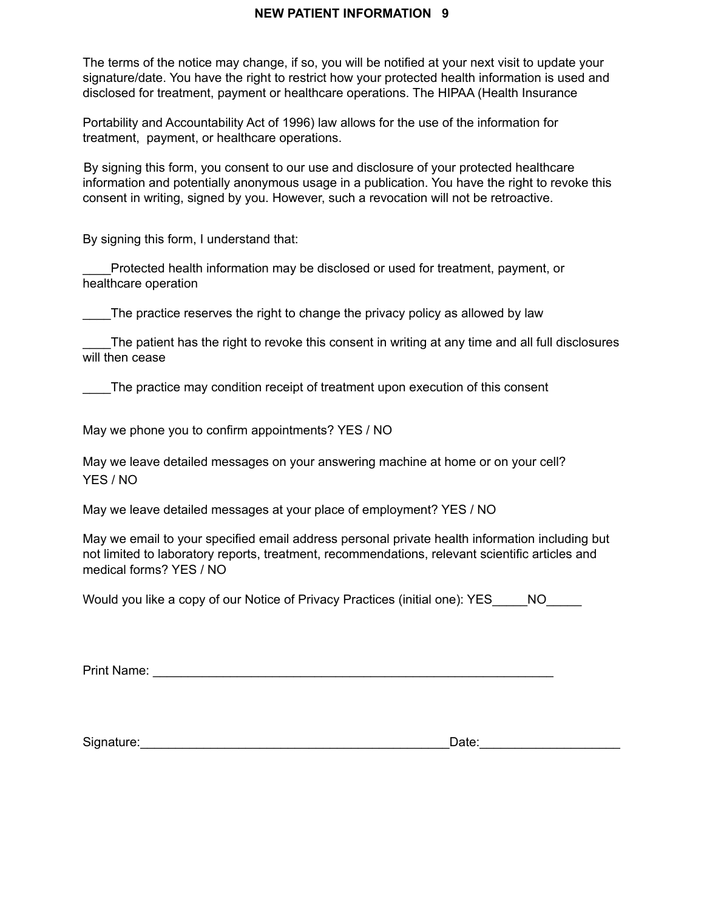The terms of the notice may change, if so, you will be notified at your next visit to update your signature/date. You have the right to restrict how your protected health information is used and disclosed for treatment, payment or healthcare operations. The HIPAA (Health Insurance

Portability and Accountability Act of 1996) law allows for the use of the information for treatment, payment, or healthcare operations.

By signing this form, you consent to our use and disclosure of your protected healthcare information and potentially anonymous usage in a publication. You have the right to revoke this consent in writing, signed by you. However, such a revocation will not be retroactive.

By signing this form, I understand that:

\_\_\_\_Protected health information may be disclosed or used for treatment, payment, or healthcare operation

The practice reserves the right to change the privacy policy as allowed by law

The patient has the right to revoke this consent in writing at any time and all full disclosures will then cease

The practice may condition receipt of treatment upon execution of this consent

May we phone you to confirm appointments? YES / NO

May we leave detailed messages on your answering machine at home or on your cell? YES / NO

May we leave detailed messages at your place of employment? YES / NO

May we email to your specified email address personal private health information including but not limited to laboratory reports, treatment, recommendations, relevant scientific articles and medical forms? YES / NO

Would you like a copy of our Notice of Privacy Practices (initial one): YES\_\_\_\_\_NO\_\_\_\_\_

Print Name: \_\_\_\_\_\_\_\_\_\_\_\_\_\_\_\_\_\_\_\_\_\_\_\_\_\_\_\_\_\_\_\_\_\_\_\_\_\_\_\_\_\_\_\_\_\_\_\_\_\_\_\_\_\_\_\_\_

Signature:\_\_\_\_\_\_\_\_\_\_\_\_\_\_\_\_\_\_\_\_\_\_\_\_\_\_\_\_\_\_\_\_\_\_\_\_\_\_\_\_\_\_\_\_Date:\_\_\_\_\_\_\_\_\_\_\_\_\_\_\_\_\_\_\_\_